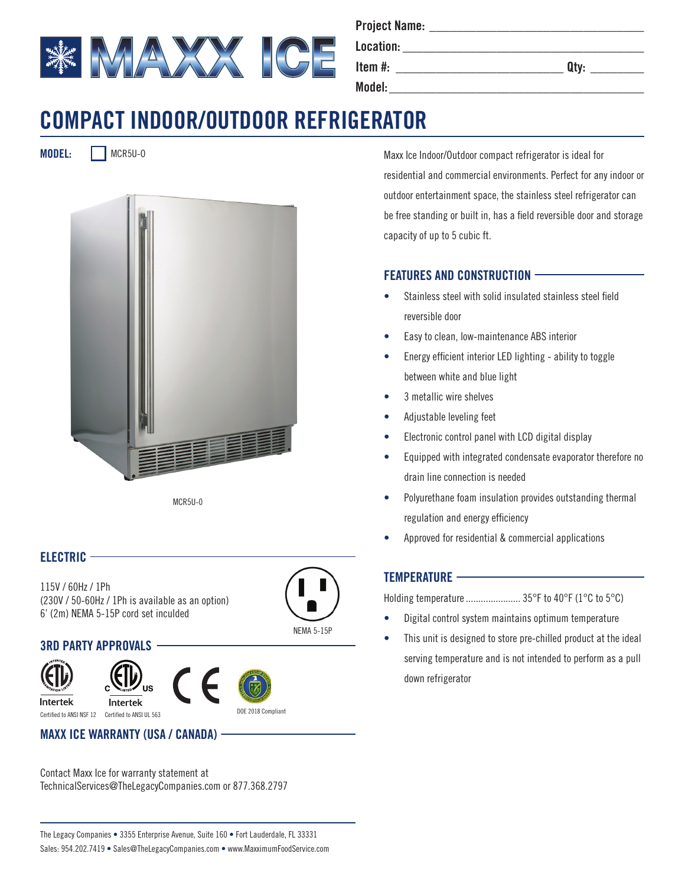

**Project Name: \_\_\_\_\_\_\_\_\_\_\_\_\_\_\_\_\_\_\_\_\_\_\_\_\_\_\_\_\_\_\_\_**

**Location: \_\_\_\_\_\_\_\_\_\_\_\_\_\_\_\_\_\_\_\_\_\_\_\_\_\_\_\_\_\_\_\_\_\_\_\_ Item #: \_\_\_\_\_\_\_\_\_\_\_\_\_\_\_\_\_\_\_\_\_\_\_\_\_ Qty: \_\_\_\_\_\_\_\_**

 $\blacksquare$  Model:

# **COMPACT INDOOR/OUTDOOR REFRIGERATOR**

**MODEL:** MCR5U-O



MCR5U-0

### **ELECTRIC**

115V / 60Hz / 1Ph (230V / 50-60Hz / 1Ph is available as an option) 6' (2m) NEMA 5-15P cord set inculded



## **3RD PARTY APPROVALS**



Intertek







Certified to ANSI NSF 12 Certified to ANSI UL 563

**MAXX ICE WARRANTY (USA / CANADA)**

Contact Maxx Ice for warranty statement at TechnicalServices@TheLegacyCompanies.com or 877.368.2797 Maxx Ice Indoor/Outdoor compact refrigerator is ideal for residential and commercial environments. Perfect for any indoor or outdoor entertainment space, the stainless steel refrigerator can be free standing or built in, has a field reversible door and storage capacity of up to 5 cubic ft.

## **FEATURES AND CONSTRUCTION**

- Stainless steel with solid insulated stainless steel field reversible door
- Easy to clean, low-maintenance ABS interior
- Energy efficient interior LED lighting ability to toggle between white and blue light
- 3 metallic wire shelves
- Adjustable leveling feet
- Electronic control panel with LCD digital display
- Equipped with integrated condensate evaporator therefore no drain line connection is needed
- Polyurethane foam insulation provides outstanding thermal regulation and energy efficiency
- Approved for residential & commercial applications

### **TEMPERATURE**

Holding temperature...................... 35°F to 40°F (1°C to 5°C)

- Digital control system maintains optimum temperature
- This unit is designed to store pre-chilled product at the ideal serving temperature and is not intended to perform as a pull down refrigerator